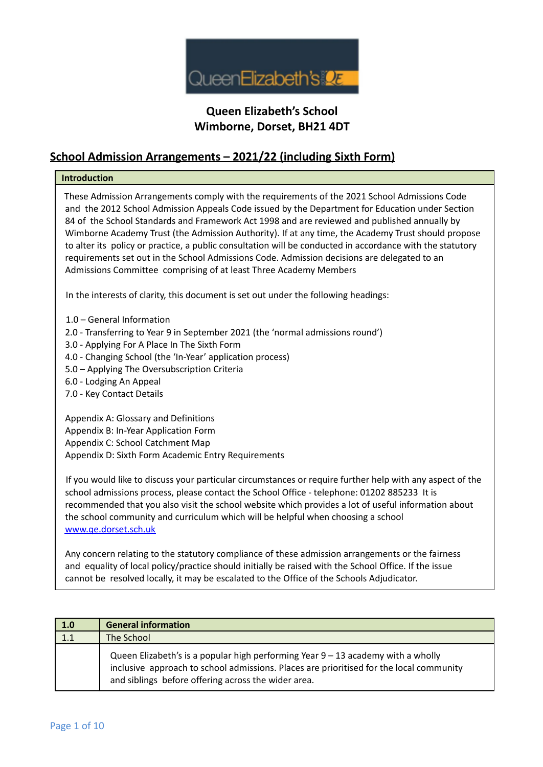

#### **School Admission Arrangements – 2021/22 (including Sixth Form)**

#### **Introduction**

These Admission Arrangements comply with the requirements of the 2021 School Admissions Code and the 2012 School Admission Appeals Code issued by the Department for Education under Section 84 of the School Standards and Framework Act 1998 and are reviewed and published annually by Wimborne Academy Trust (the Admission Authority). If at any time, the Academy Trust should propose to alter its policy or practice, a public consultation will be conducted in accordance with the statutory requirements set out in the School Admissions Code. Admission decisions are delegated to an Admissions Committee comprising of at least Three Academy Members

In the interests of clarity, this document is set out under the following headings:

1.0 – General Information

- 2.0 Transferring to Year 9 in September 2021 (the 'normal admissions round')
- 3.0 Applying For A Place In The Sixth Form
- 4.0 Changing School (the 'In-Year' application process)
- 5.0 Applying The Oversubscription Criteria
- 6.0 Lodging An Appeal
- 7.0 Key Contact Details

Appendix A: Glossary and Definitions Appendix B: In-Year Application Form Appendix C: School Catchment Map Appendix D: Sixth Form Academic Entry Requirements

If you would like to discuss your particular circumstances or require further help with any aspect of the school admissions process, please contact the School Office - telephone: 01202 885233 It is recommended that you also visit the school website which provides a lot of useful information about the school community and curriculum which will be helpful when choosing a school www.qe.dorset.sch.uk

Any concern relating to the statutory compliance of these admission arrangements or the fairness and equality of local policy/practice should initially be raised with the School Office. If the issue cannot be resolved locally, it may be escalated to the Office of the Schools Adjudicator.

| 1.0 | <b>General information</b>                                                                                                                                                                                                           |
|-----|--------------------------------------------------------------------------------------------------------------------------------------------------------------------------------------------------------------------------------------|
| 1.1 | The School                                                                                                                                                                                                                           |
|     | Queen Elizabeth's is a popular high performing Year $9 - 13$ academy with a wholly<br>inclusive approach to school admissions. Places are prioritised for the local community<br>and siblings before offering across the wider area. |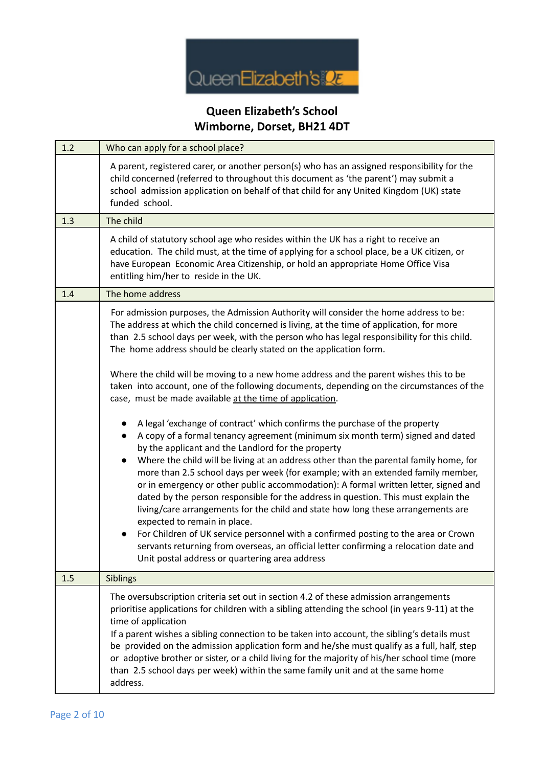

| 1.2 | Who can apply for a school place?                                                                                                                                                                                                                                                                                                                                                                                                                                                                                                                                                                                                                                                                                                                                                                                                                                                                                                 |
|-----|-----------------------------------------------------------------------------------------------------------------------------------------------------------------------------------------------------------------------------------------------------------------------------------------------------------------------------------------------------------------------------------------------------------------------------------------------------------------------------------------------------------------------------------------------------------------------------------------------------------------------------------------------------------------------------------------------------------------------------------------------------------------------------------------------------------------------------------------------------------------------------------------------------------------------------------|
|     | A parent, registered carer, or another person(s) who has an assigned responsibility for the<br>child concerned (referred to throughout this document as 'the parent') may submit a<br>school admission application on behalf of that child for any United Kingdom (UK) state<br>funded school.                                                                                                                                                                                                                                                                                                                                                                                                                                                                                                                                                                                                                                    |
| 1.3 | The child                                                                                                                                                                                                                                                                                                                                                                                                                                                                                                                                                                                                                                                                                                                                                                                                                                                                                                                         |
|     | A child of statutory school age who resides within the UK has a right to receive an<br>education. The child must, at the time of applying for a school place, be a UK citizen, or<br>have European Economic Area Citizenship, or hold an appropriate Home Office Visa<br>entitling him/her to reside in the UK.                                                                                                                                                                                                                                                                                                                                                                                                                                                                                                                                                                                                                   |
| 1.4 | The home address                                                                                                                                                                                                                                                                                                                                                                                                                                                                                                                                                                                                                                                                                                                                                                                                                                                                                                                  |
|     | For admission purposes, the Admission Authority will consider the home address to be:<br>The address at which the child concerned is living, at the time of application, for more<br>than 2.5 school days per week, with the person who has legal responsibility for this child.<br>The home address should be clearly stated on the application form.                                                                                                                                                                                                                                                                                                                                                                                                                                                                                                                                                                            |
|     | Where the child will be moving to a new home address and the parent wishes this to be<br>taken into account, one of the following documents, depending on the circumstances of the<br>case, must be made available at the time of application.                                                                                                                                                                                                                                                                                                                                                                                                                                                                                                                                                                                                                                                                                    |
|     | A legal 'exchange of contract' which confirms the purchase of the property<br>A copy of a formal tenancy agreement (minimum six month term) signed and dated<br>by the applicant and the Landlord for the property<br>Where the child will be living at an address other than the parental family home, for<br>more than 2.5 school days per week (for example; with an extended family member,<br>or in emergency or other public accommodation): A formal written letter, signed and<br>dated by the person responsible for the address in question. This must explain the<br>living/care arrangements for the child and state how long these arrangements are<br>expected to remain in place.<br>For Children of UK service personnel with a confirmed posting to the area or Crown<br>servants returning from overseas, an official letter confirming a relocation date and<br>Unit postal address or quartering area address |
| 1.5 | Siblings                                                                                                                                                                                                                                                                                                                                                                                                                                                                                                                                                                                                                                                                                                                                                                                                                                                                                                                          |
|     | The oversubscription criteria set out in section 4.2 of these admission arrangements<br>prioritise applications for children with a sibling attending the school (in years 9-11) at the<br>time of application<br>If a parent wishes a sibling connection to be taken into account, the sibling's details must<br>be provided on the admission application form and he/she must qualify as a full, half, step<br>or adoptive brother or sister, or a child living for the majority of his/her school time (more<br>than 2.5 school days per week) within the same family unit and at the same home<br>address.                                                                                                                                                                                                                                                                                                                    |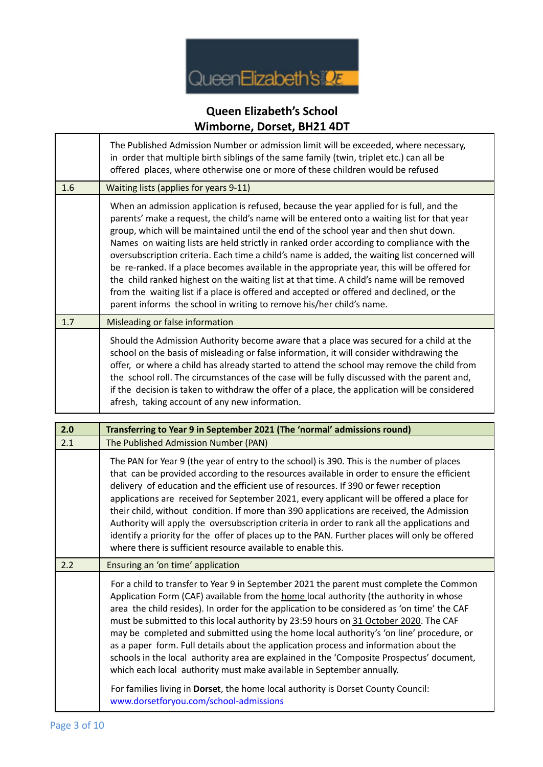

|     | The Published Admission Number or admission limit will be exceeded, where necessary,<br>in order that multiple birth siblings of the same family (twin, triplet etc.) can all be<br>offered places, where otherwise one or more of these children would be refused                                                                                                                                                                                                                                                                                                                                                                                                                                                                                                                                                                            |
|-----|-----------------------------------------------------------------------------------------------------------------------------------------------------------------------------------------------------------------------------------------------------------------------------------------------------------------------------------------------------------------------------------------------------------------------------------------------------------------------------------------------------------------------------------------------------------------------------------------------------------------------------------------------------------------------------------------------------------------------------------------------------------------------------------------------------------------------------------------------|
| 1.6 | Waiting lists (applies for years 9-11)                                                                                                                                                                                                                                                                                                                                                                                                                                                                                                                                                                                                                                                                                                                                                                                                        |
|     | When an admission application is refused, because the year applied for is full, and the<br>parents' make a request, the child's name will be entered onto a waiting list for that year<br>group, which will be maintained until the end of the school year and then shut down.<br>Names on waiting lists are held strictly in ranked order according to compliance with the<br>oversubscription criteria. Each time a child's name is added, the waiting list concerned will<br>be re-ranked. If a place becomes available in the appropriate year, this will be offered for<br>the child ranked highest on the waiting list at that time. A child's name will be removed<br>from the waiting list if a place is offered and accepted or offered and declined, or the<br>parent informs the school in writing to remove his/her child's name. |
| 1.7 | Misleading or false information                                                                                                                                                                                                                                                                                                                                                                                                                                                                                                                                                                                                                                                                                                                                                                                                               |
|     | Should the Admission Authority become aware that a place was secured for a child at the<br>school on the basis of misleading or false information, it will consider withdrawing the<br>offer, or where a child has already started to attend the school may remove the child from<br>the school roll. The circumstances of the case will be fully discussed with the parent and,<br>if the decision is taken to withdraw the offer of a place, the application will be considered<br>afresh, taking account of any new information.                                                                                                                                                                                                                                                                                                           |

| 2.0 | Transferring to Year 9 in September 2021 (The 'normal' admissions round)                                                                                                                                                                                                                                                                                                                                                                                                                                                                                                                                                                                                                                                                   |
|-----|--------------------------------------------------------------------------------------------------------------------------------------------------------------------------------------------------------------------------------------------------------------------------------------------------------------------------------------------------------------------------------------------------------------------------------------------------------------------------------------------------------------------------------------------------------------------------------------------------------------------------------------------------------------------------------------------------------------------------------------------|
| 2.1 | The Published Admission Number (PAN)                                                                                                                                                                                                                                                                                                                                                                                                                                                                                                                                                                                                                                                                                                       |
|     | The PAN for Year 9 (the year of entry to the school) is 390. This is the number of places<br>that can be provided according to the resources available in order to ensure the efficient<br>delivery of education and the efficient use of resources. If 390 or fewer reception<br>applications are received for September 2021, every applicant will be offered a place for<br>their child, without condition. If more than 390 applications are received, the Admission<br>Authority will apply the oversubscription criteria in order to rank all the applications and<br>identify a priority for the offer of places up to the PAN. Further places will only be offered<br>where there is sufficient resource available to enable this. |
| 2.2 | Ensuring an 'on time' application                                                                                                                                                                                                                                                                                                                                                                                                                                                                                                                                                                                                                                                                                                          |
|     | For a child to transfer to Year 9 in September 2021 the parent must complete the Common<br>Application Form (CAF) available from the home local authority (the authority in whose<br>area the child resides). In order for the application to be considered as 'on time' the CAF<br>must be submitted to this local authority by 23:59 hours on 31 October 2020. The CAF<br>may be completed and submitted using the home local authority's 'on line' procedure, or<br>as a paper form. Full details about the application process and information about the<br>schools in the local authority area are explained in the 'Composite Prospectus' document,<br>which each local authority must make available in September annually.         |
|     | For families living in Dorset, the home local authority is Dorset County Council:<br>www.dorsetforyou.com/school-admissions                                                                                                                                                                                                                                                                                                                                                                                                                                                                                                                                                                                                                |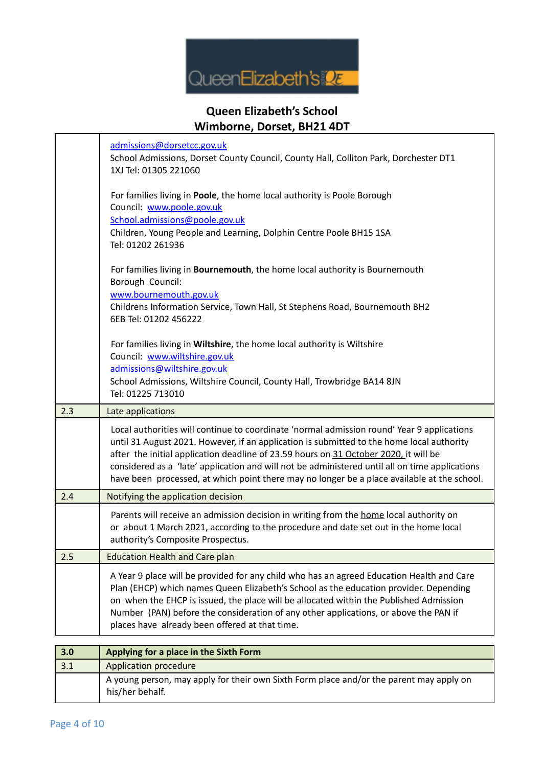

|     | admissions@dorsetcc.gov.uk<br>School Admissions, Dorset County Council, County Hall, Colliton Park, Dorchester DT1<br>1XJ Tel: 01305 221060                                                                                                                                                                                                                                                                                                                                      |
|-----|----------------------------------------------------------------------------------------------------------------------------------------------------------------------------------------------------------------------------------------------------------------------------------------------------------------------------------------------------------------------------------------------------------------------------------------------------------------------------------|
|     | For families living in Poole, the home local authority is Poole Borough<br>Council: www.poole.gov.uk<br>School.admissions@poole.gov.uk<br>Children, Young People and Learning, Dolphin Centre Poole BH15 1SA<br>Tel: 01202 261936                                                                                                                                                                                                                                                |
|     | For families living in Bournemouth, the home local authority is Bournemouth<br>Borough Council:<br>www.bournemouth.gov.uk<br>Childrens Information Service, Town Hall, St Stephens Road, Bournemouth BH2<br>6EB Tel: 01202 456222                                                                                                                                                                                                                                                |
|     | For families living in Wiltshire, the home local authority is Wiltshire<br>Council: www.wiltshire.gov.uk<br>admissions@wiltshire.gov.uk<br>School Admissions, Wiltshire Council, County Hall, Trowbridge BA14 8JN<br>Tel: 01225 713010                                                                                                                                                                                                                                           |
| 2.3 | Late applications                                                                                                                                                                                                                                                                                                                                                                                                                                                                |
|     | Local authorities will continue to coordinate 'normal admission round' Year 9 applications<br>until 31 August 2021. However, if an application is submitted to the home local authority<br>after the initial application deadline of 23.59 hours on 31 October 2020, it will be<br>considered as a 'late' application and will not be administered until all on time applications<br>have been processed, at which point there may no longer be a place available at the school. |
| 2.4 | Notifying the application decision                                                                                                                                                                                                                                                                                                                                                                                                                                               |
|     | Parents will receive an admission decision in writing from the home local authority on<br>or about 1 March 2021, according to the procedure and date set out in the home local<br>authority's Composite Prospectus.                                                                                                                                                                                                                                                              |
| 2.5 | <b>Education Health and Care plan</b>                                                                                                                                                                                                                                                                                                                                                                                                                                            |
|     | A Year 9 place will be provided for any child who has an agreed Education Health and Care<br>Plan (EHCP) which names Queen Elizabeth's School as the education provider. Depending<br>on when the EHCP is issued, the place will be allocated within the Published Admission<br>Number (PAN) before the consideration of any other applications, or above the PAN if<br>places have already been offered at that time.                                                           |
| 3.0 | Applying for a place in the Sixth Form                                                                                                                                                                                                                                                                                                                                                                                                                                           |

| $\vert 3.0 \vert$ | Applying for a place in the Sixth Form                                                                     |
|-------------------|------------------------------------------------------------------------------------------------------------|
| 3.1               | Application procedure                                                                                      |
|                   | A young person, may apply for their own Sixth Form place and/or the parent may apply on<br>his/her behalf. |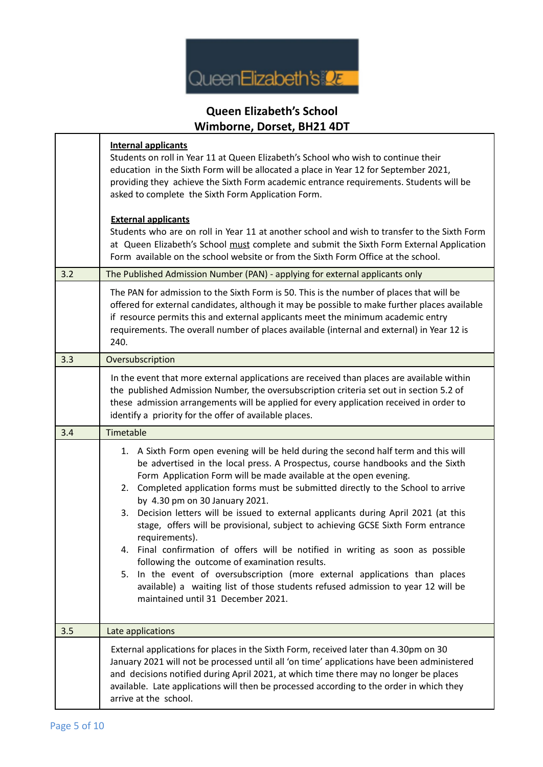

|     | $\frac{1}{2}$                                                                                                                                                                                                                                                                                                                                                                                                                                                                                                                                                                                                                                                                                                                                                                                                                                                                                                      |
|-----|--------------------------------------------------------------------------------------------------------------------------------------------------------------------------------------------------------------------------------------------------------------------------------------------------------------------------------------------------------------------------------------------------------------------------------------------------------------------------------------------------------------------------------------------------------------------------------------------------------------------------------------------------------------------------------------------------------------------------------------------------------------------------------------------------------------------------------------------------------------------------------------------------------------------|
|     | <b>Internal applicants</b><br>Students on roll in Year 11 at Queen Elizabeth's School who wish to continue their<br>education in the Sixth Form will be allocated a place in Year 12 for September 2021,<br>providing they achieve the Sixth Form academic entrance requirements. Students will be<br>asked to complete the Sixth Form Application Form.                                                                                                                                                                                                                                                                                                                                                                                                                                                                                                                                                           |
|     | <b>External applicants</b><br>Students who are on roll in Year 11 at another school and wish to transfer to the Sixth Form<br>at Queen Elizabeth's School must complete and submit the Sixth Form External Application<br>Form available on the school website or from the Sixth Form Office at the school.                                                                                                                                                                                                                                                                                                                                                                                                                                                                                                                                                                                                        |
| 3.2 | The Published Admission Number (PAN) - applying for external applicants only                                                                                                                                                                                                                                                                                                                                                                                                                                                                                                                                                                                                                                                                                                                                                                                                                                       |
|     | The PAN for admission to the Sixth Form is 50. This is the number of places that will be<br>offered for external candidates, although it may be possible to make further places available<br>if resource permits this and external applicants meet the minimum academic entry<br>requirements. The overall number of places available (internal and external) in Year 12 is<br>240.                                                                                                                                                                                                                                                                                                                                                                                                                                                                                                                                |
| 3.3 | Oversubscription                                                                                                                                                                                                                                                                                                                                                                                                                                                                                                                                                                                                                                                                                                                                                                                                                                                                                                   |
|     | In the event that more external applications are received than places are available within<br>the published Admission Number, the oversubscription criteria set out in section 5.2 of<br>these admission arrangements will be applied for every application received in order to<br>identify a priority for the offer of available places.                                                                                                                                                                                                                                                                                                                                                                                                                                                                                                                                                                         |
| 3.4 | Timetable                                                                                                                                                                                                                                                                                                                                                                                                                                                                                                                                                                                                                                                                                                                                                                                                                                                                                                          |
|     | 1. A Sixth Form open evening will be held during the second half term and this will<br>be advertised in the local press. A Prospectus, course handbooks and the Sixth<br>Form Application Form will be made available at the open evening.<br>2. Completed application forms must be submitted directly to the School to arrive<br>by 4.30 pm on 30 January 2021.<br>Decision letters will be issued to external applicants during April 2021 (at this<br>3.<br>stage, offers will be provisional, subject to achieving GCSE Sixth Form entrance<br>requirements).<br>4. Final confirmation of offers will be notified in writing as soon as possible<br>following the outcome of examination results.<br>In the event of oversubscription (more external applications than places<br>5.<br>available) a waiting list of those students refused admission to year 12 will be<br>maintained until 31 December 2021. |
| 3.5 | Late applications                                                                                                                                                                                                                                                                                                                                                                                                                                                                                                                                                                                                                                                                                                                                                                                                                                                                                                  |
|     | External applications for places in the Sixth Form, received later than 4.30pm on 30<br>January 2021 will not be processed until all 'on time' applications have been administered<br>and decisions notified during April 2021, at which time there may no longer be places<br>available. Late applications will then be processed according to the order in which they<br>arrive at the school.                                                                                                                                                                                                                                                                                                                                                                                                                                                                                                                   |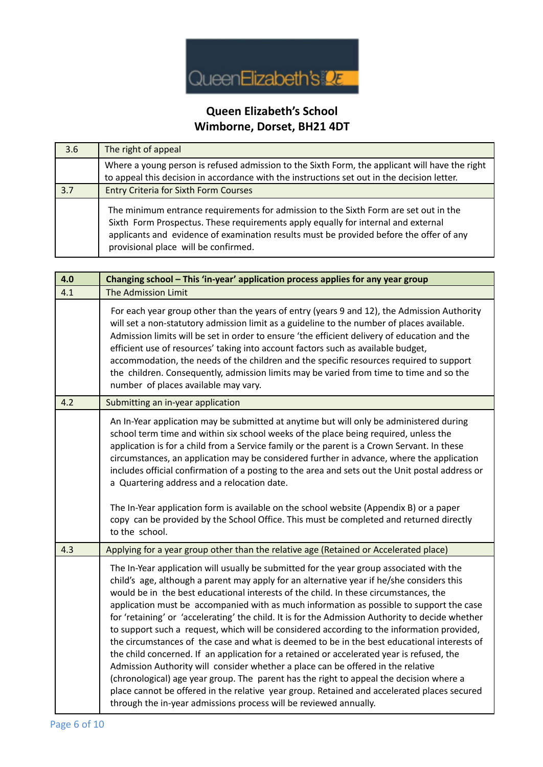

| 3.6 | The right of appeal                                                                                                                                                                                                                                                                                          |
|-----|--------------------------------------------------------------------------------------------------------------------------------------------------------------------------------------------------------------------------------------------------------------------------------------------------------------|
|     | Where a young person is refused admission to the Sixth Form, the applicant will have the right<br>to appeal this decision in accordance with the instructions set out in the decision letter.                                                                                                                |
| 3.7 | <b>Entry Criteria for Sixth Form Courses</b>                                                                                                                                                                                                                                                                 |
|     | The minimum entrance requirements for admission to the Sixth Form are set out in the<br>Sixth Form Prospectus. These requirements apply equally for internal and external<br>applicants and evidence of examination results must be provided before the offer of any<br>provisional place will be confirmed. |

| 4.0 | Changing school - This 'in-year' application process applies for any year group                                                                                                                                                                                                                                                                                                                                                                                                                                                                                                                                                                                                                                                                                                                                                                                                                                                                                                                                                                                                                                            |
|-----|----------------------------------------------------------------------------------------------------------------------------------------------------------------------------------------------------------------------------------------------------------------------------------------------------------------------------------------------------------------------------------------------------------------------------------------------------------------------------------------------------------------------------------------------------------------------------------------------------------------------------------------------------------------------------------------------------------------------------------------------------------------------------------------------------------------------------------------------------------------------------------------------------------------------------------------------------------------------------------------------------------------------------------------------------------------------------------------------------------------------------|
| 4.1 | The Admission Limit                                                                                                                                                                                                                                                                                                                                                                                                                                                                                                                                                                                                                                                                                                                                                                                                                                                                                                                                                                                                                                                                                                        |
|     | For each year group other than the years of entry (years 9 and 12), the Admission Authority<br>will set a non-statutory admission limit as a guideline to the number of places available.<br>Admission limits will be set in order to ensure 'the efficient delivery of education and the<br>efficient use of resources' taking into account factors such as available budget,<br>accommodation, the needs of the children and the specific resources required to support<br>the children. Consequently, admission limits may be varied from time to time and so the<br>number of places available may vary.                                                                                                                                                                                                                                                                                                                                                                                                                                                                                                               |
| 4.2 | Submitting an in-year application                                                                                                                                                                                                                                                                                                                                                                                                                                                                                                                                                                                                                                                                                                                                                                                                                                                                                                                                                                                                                                                                                          |
|     | An In-Year application may be submitted at anytime but will only be administered during<br>school term time and within six school weeks of the place being required, unless the<br>application is for a child from a Service family or the parent is a Crown Servant. In these<br>circumstances, an application may be considered further in advance, where the application<br>includes official confirmation of a posting to the area and sets out the Unit postal address or<br>a Quartering address and a relocation date.<br>The In-Year application form is available on the school website (Appendix B) or a paper<br>copy can be provided by the School Office. This must be completed and returned directly<br>to the school.                                                                                                                                                                                                                                                                                                                                                                                      |
| 4.3 | Applying for a year group other than the relative age (Retained or Accelerated place)                                                                                                                                                                                                                                                                                                                                                                                                                                                                                                                                                                                                                                                                                                                                                                                                                                                                                                                                                                                                                                      |
|     | The In-Year application will usually be submitted for the year group associated with the<br>child's age, although a parent may apply for an alternative year if he/she considers this<br>would be in the best educational interests of the child. In these circumstances, the<br>application must be accompanied with as much information as possible to support the case<br>for 'retaining' or 'accelerating' the child. It is for the Admission Authority to decide whether<br>to support such a request, which will be considered according to the information provided,<br>the circumstances of the case and what is deemed to be in the best educational interests of<br>the child concerned. If an application for a retained or accelerated year is refused, the<br>Admission Authority will consider whether a place can be offered in the relative<br>(chronological) age year group. The parent has the right to appeal the decision where a<br>place cannot be offered in the relative year group. Retained and accelerated places secured<br>through the in-year admissions process will be reviewed annually. |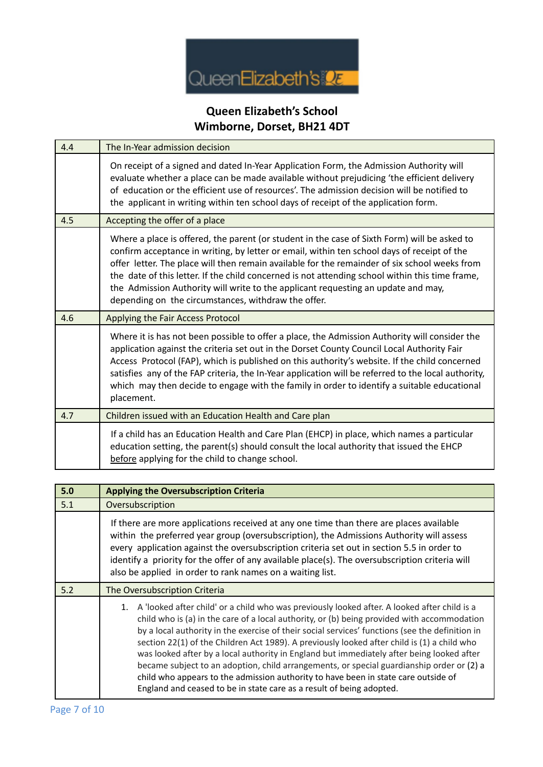

| 4.4 | The In-Year admission decision                                                                                                                                                                                                                                                                                                                                                                                                                                                                                                              |
|-----|---------------------------------------------------------------------------------------------------------------------------------------------------------------------------------------------------------------------------------------------------------------------------------------------------------------------------------------------------------------------------------------------------------------------------------------------------------------------------------------------------------------------------------------------|
|     | On receipt of a signed and dated In-Year Application Form, the Admission Authority will<br>evaluate whether a place can be made available without prejudicing 'the efficient delivery<br>of education or the efficient use of resources'. The admission decision will be notified to<br>the applicant in writing within ten school days of receipt of the application form.                                                                                                                                                                 |
| 4.5 | Accepting the offer of a place                                                                                                                                                                                                                                                                                                                                                                                                                                                                                                              |
|     | Where a place is offered, the parent (or student in the case of Sixth Form) will be asked to<br>confirm acceptance in writing, by letter or email, within ten school days of receipt of the<br>offer letter. The place will then remain available for the remainder of six school weeks from<br>the date of this letter. If the child concerned is not attending school within this time frame,<br>the Admission Authority will write to the applicant requesting an update and may,<br>depending on the circumstances, withdraw the offer. |
| 4.6 | Applying the Fair Access Protocol                                                                                                                                                                                                                                                                                                                                                                                                                                                                                                           |
|     | Where it is has not been possible to offer a place, the Admission Authority will consider the<br>application against the criteria set out in the Dorset County Council Local Authority Fair<br>Access Protocol (FAP), which is published on this authority's website. If the child concerned<br>satisfies any of the FAP criteria, the In-Year application will be referred to the local authority,<br>which may then decide to engage with the family in order to identify a suitable educational<br>placement.                            |
| 4.7 | Children issued with an Education Health and Care plan                                                                                                                                                                                                                                                                                                                                                                                                                                                                                      |
|     | If a child has an Education Health and Care Plan (EHCP) in place, which names a particular<br>education setting, the parent(s) should consult the local authority that issued the EHCP<br>before applying for the child to change school.                                                                                                                                                                                                                                                                                                   |

| 5.0 | <b>Applying the Oversubscription Criteria</b>                                                                                                                                                                                                                                                                                                                                                                                                                                                                                                                                                                                                                                                                                                               |
|-----|-------------------------------------------------------------------------------------------------------------------------------------------------------------------------------------------------------------------------------------------------------------------------------------------------------------------------------------------------------------------------------------------------------------------------------------------------------------------------------------------------------------------------------------------------------------------------------------------------------------------------------------------------------------------------------------------------------------------------------------------------------------|
| 5.1 | Oversubscription                                                                                                                                                                                                                                                                                                                                                                                                                                                                                                                                                                                                                                                                                                                                            |
|     | If there are more applications received at any one time than there are places available<br>within the preferred year group (oversubscription), the Admissions Authority will assess<br>every application against the oversubscription criteria set out in section 5.5 in order to<br>identify a priority for the offer of any available place(s). The oversubscription criteria will<br>also be applied in order to rank names on a waiting list.                                                                                                                                                                                                                                                                                                           |
| 5.2 | The Oversubscription Criteria                                                                                                                                                                                                                                                                                                                                                                                                                                                                                                                                                                                                                                                                                                                               |
|     | A 'looked after child' or a child who was previously looked after. A looked after child is a<br>1.<br>child who is (a) in the care of a local authority, or (b) being provided with accommodation<br>by a local authority in the exercise of their social services' functions (see the definition in<br>section 22(1) of the Children Act 1989). A previously looked after child is (1) a child who<br>was looked after by a local authority in England but immediately after being looked after<br>became subject to an adoption, child arrangements, or special guardianship order or (2) a<br>child who appears to the admission authority to have been in state care outside of<br>England and ceased to be in state care as a result of being adopted. |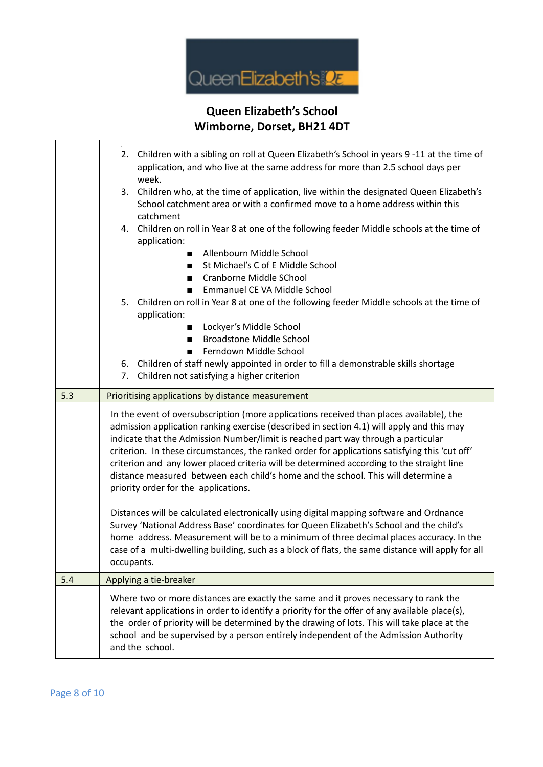

|     | Children with a sibling on roll at Queen Elizabeth's School in years 9-11 at the time of<br>2.<br>application, and who live at the same address for more than 2.5 school days per<br>week.                                                                                                                                                                                                                                                                                                                                                                                                             |
|-----|--------------------------------------------------------------------------------------------------------------------------------------------------------------------------------------------------------------------------------------------------------------------------------------------------------------------------------------------------------------------------------------------------------------------------------------------------------------------------------------------------------------------------------------------------------------------------------------------------------|
|     | 3. Children who, at the time of application, live within the designated Queen Elizabeth's<br>School catchment area or with a confirmed move to a home address within this<br>catchment                                                                                                                                                                                                                                                                                                                                                                                                                 |
|     | Children on roll in Year 8 at one of the following feeder Middle schools at the time of<br>4.<br>application:<br>Allenbourn Middle School<br>St Michael's C of E Middle School<br>Cranborne Middle SChool<br>٠                                                                                                                                                                                                                                                                                                                                                                                         |
|     | Emmanuel CE VA Middle School<br>$\blacksquare$<br>5. Children on roll in Year 8 at one of the following feeder Middle schools at the time of<br>application:<br>Lockyer's Middle School                                                                                                                                                                                                                                                                                                                                                                                                                |
|     | <b>Broadstone Middle School</b>                                                                                                                                                                                                                                                                                                                                                                                                                                                                                                                                                                        |
|     | Ferndown Middle School                                                                                                                                                                                                                                                                                                                                                                                                                                                                                                                                                                                 |
|     | 6. Children of staff newly appointed in order to fill a demonstrable skills shortage<br>Children not satisfying a higher criterion<br>7.                                                                                                                                                                                                                                                                                                                                                                                                                                                               |
| 5.3 | Prioritising applications by distance measurement                                                                                                                                                                                                                                                                                                                                                                                                                                                                                                                                                      |
|     | In the event of oversubscription (more applications received than places available), the<br>admission application ranking exercise (described in section 4.1) will apply and this may<br>indicate that the Admission Number/limit is reached part way through a particular<br>criterion. In these circumstances, the ranked order for applications satisfying this 'cut off'<br>criterion and any lower placed criteria will be determined according to the straight line<br>distance measured between each child's home and the school. This will determine a<br>priority order for the applications. |
|     | Distances will be calculated electronically using digital mapping software and Ordnance<br>Survey 'National Address Base' coordinates for Queen Elizabeth's School and the child's<br>home address. Measurement will be to a minimum of three decimal places accuracy. In the<br>case of a multi-dwelling building, such as a block of flats, the same distance will apply for all<br>occupants.                                                                                                                                                                                                       |
| 5.4 | Applying a tie-breaker                                                                                                                                                                                                                                                                                                                                                                                                                                                                                                                                                                                 |
|     | Where two or more distances are exactly the same and it proves necessary to rank the<br>relevant applications in order to identify a priority for the offer of any available place(s),<br>the order of priority will be determined by the drawing of lots. This will take place at the<br>school and be supervised by a person entirely independent of the Admission Authority<br>and the school.                                                                                                                                                                                                      |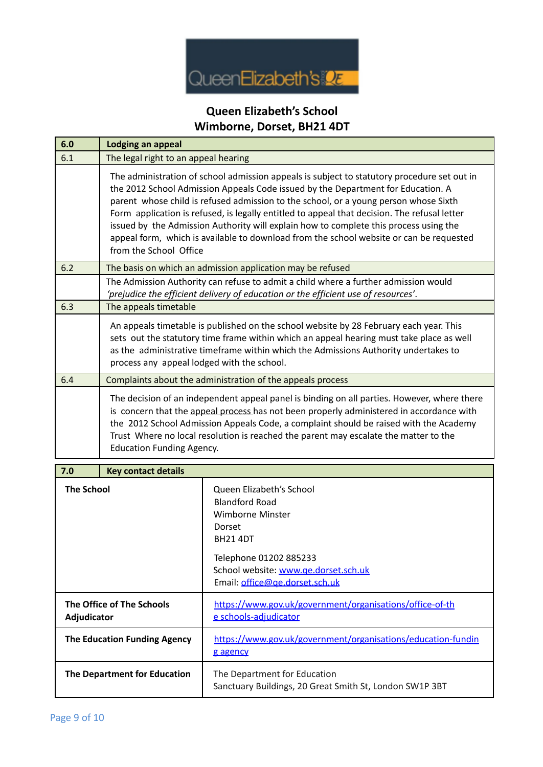

| 6.0                                      | <b>Lodging an appeal</b>                                                                                                                                                                                                                                                                                                                                                                                                                                                                                                                                                              |                                                                                                                                                                                                               |
|------------------------------------------|---------------------------------------------------------------------------------------------------------------------------------------------------------------------------------------------------------------------------------------------------------------------------------------------------------------------------------------------------------------------------------------------------------------------------------------------------------------------------------------------------------------------------------------------------------------------------------------|---------------------------------------------------------------------------------------------------------------------------------------------------------------------------------------------------------------|
| 6.1                                      | The legal right to an appeal hearing                                                                                                                                                                                                                                                                                                                                                                                                                                                                                                                                                  |                                                                                                                                                                                                               |
|                                          | The administration of school admission appeals is subject to statutory procedure set out in<br>the 2012 School Admission Appeals Code issued by the Department for Education. A<br>parent whose child is refused admission to the school, or a young person whose Sixth<br>Form application is refused, is legally entitled to appeal that decision. The refusal letter<br>issued by the Admission Authority will explain how to complete this process using the<br>appeal form, which is available to download from the school website or can be requested<br>from the School Office |                                                                                                                                                                                                               |
| 6.2                                      | The basis on which an admission application may be refused                                                                                                                                                                                                                                                                                                                                                                                                                                                                                                                            |                                                                                                                                                                                                               |
|                                          | The Admission Authority can refuse to admit a child where a further admission would<br>'prejudice the efficient delivery of education or the efficient use of resources'.                                                                                                                                                                                                                                                                                                                                                                                                             |                                                                                                                                                                                                               |
| 6.3                                      | The appeals timetable                                                                                                                                                                                                                                                                                                                                                                                                                                                                                                                                                                 |                                                                                                                                                                                                               |
|                                          | An appeals timetable is published on the school website by 28 February each year. This<br>sets out the statutory time frame within which an appeal hearing must take place as well<br>as the administrative timeframe within which the Admissions Authority undertakes to<br>process any appeal lodged with the school.                                                                                                                                                                                                                                                               |                                                                                                                                                                                                               |
| 6.4                                      | Complaints about the administration of the appeals process                                                                                                                                                                                                                                                                                                                                                                                                                                                                                                                            |                                                                                                                                                                                                               |
|                                          | The decision of an independent appeal panel is binding on all parties. However, where there<br>is concern that the appeal process has not been properly administered in accordance with<br>the 2012 School Admission Appeals Code, a complaint should be raised with the Academy<br>Trust Where no local resolution is reached the parent may escalate the matter to the<br><b>Education Funding Agency.</b>                                                                                                                                                                          |                                                                                                                                                                                                               |
| 7.0                                      | <b>Key contact details</b>                                                                                                                                                                                                                                                                                                                                                                                                                                                                                                                                                            |                                                                                                                                                                                                               |
| <b>The School</b>                        |                                                                                                                                                                                                                                                                                                                                                                                                                                                                                                                                                                                       | Queen Elizabeth's School<br><b>Blandford Road</b><br><b>Wimborne Minster</b><br>Dorset<br><b>BH21 4DT</b><br>Telephone 01202 885233<br>School website: www.ge.dorset.sch.uk<br>Email: office@ge.dorset.sch.uk |
| The Office of The Schools<br>Adjudicator |                                                                                                                                                                                                                                                                                                                                                                                                                                                                                                                                                                                       | https://www.gov.uk/government/organisations/office-of-th<br>e schools-adjudicator                                                                                                                             |
| <b>The Education Funding Agency</b>      |                                                                                                                                                                                                                                                                                                                                                                                                                                                                                                                                                                                       | https://www.gov.uk/government/organisations/education-fundin<br>g agency                                                                                                                                      |
| The Department for Education             |                                                                                                                                                                                                                                                                                                                                                                                                                                                                                                                                                                                       | The Department for Education<br>Sanctuary Buildings, 20 Great Smith St, London SW1P 3BT                                                                                                                       |